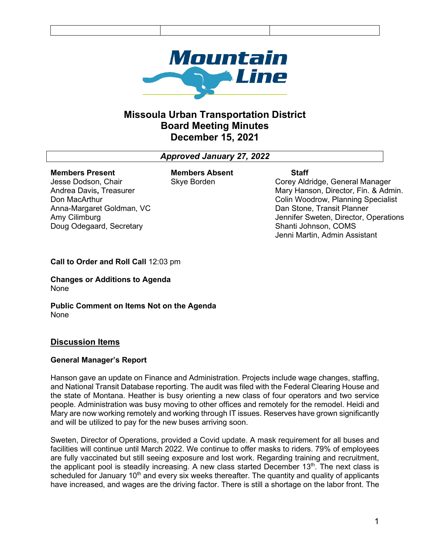

# **Missoula Urban Transportation District Board Meeting Minutes December 15, 2021**

*Approved January 27, 2022*

#### **Members Present** Jesse Dodson, Chair

Don MacArthur

Amy Cilimburg

Andrea Davis**,** Treasurer

Anna-Margaret Goldman, VC

Doug Odegaard, Secretary

**Members Absent** Skye Borden

#### **Staff**

Corey Aldridge, General Manager Mary Hanson, Director, Fin. & Admin. Colin Woodrow, Planning Specialist Dan Stone, Transit Planner Jennifer Sweten, Director, Operations Shanti Johnson, COMS Jenni Martin, Admin Assistant

**Call to Order and Roll Call** 12:03 pm

**Changes or Additions to Agenda** None

**Public Comment on Items Not on the Agenda** None

## **Discussion Items**

## **General Manager's Report**

Hanson gave an update on Finance and Administration. Projects include wage changes, staffing, and National Transit Database reporting. The audit was filed with the Federal Clearing House and the state of Montana. Heather is busy orienting a new class of four operators and two service people. Administration was busy moving to other offices and remotely for the remodel. Heidi and Mary are now working remotely and working through IT issues. Reserves have grown significantly and will be utilized to pay for the new buses arriving soon.

Sweten, Director of Operations, provided a Covid update. A mask requirement for all buses and facilities will continue until March 2022. We continue to offer masks to riders. 79% of employees are fully vaccinated but still seeing exposure and lost work. Regarding training and recruitment, the applicant pool is steadily increasing. A new class started December  $13<sup>th</sup>$ . The next class is scheduled for January  $10<sup>th</sup>$  and every six weeks thereafter. The quantity and quality of applicants have increased, and wages are the driving factor. There is still a shortage on the labor front. The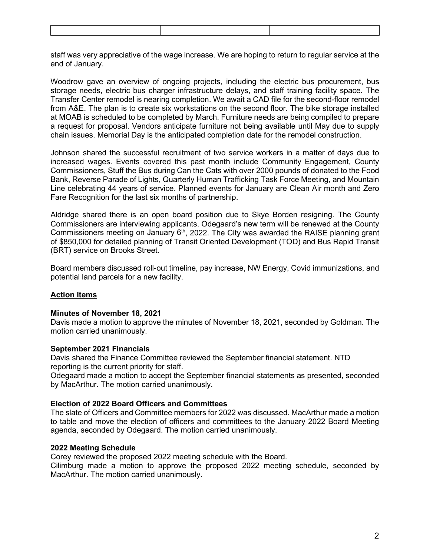staff was very appreciative of the wage increase. We are hoping to return to regular service at the end of January.

Woodrow gave an overview of ongoing projects, including the electric bus procurement, bus storage needs, electric bus charger infrastructure delays, and staff training facility space. The Transfer Center remodel is nearing completion. We await a CAD file for the second-floor remodel from A&E. The plan is to create six workstations on the second floor. The bike storage installed at MOAB is scheduled to be completed by March. Furniture needs are being compiled to prepare a request for proposal. Vendors anticipate furniture not being available until May due to supply chain issues. Memorial Day is the anticipated completion date for the remodel construction.

Johnson shared the successful recruitment of two service workers in a matter of days due to increased wages. Events covered this past month include Community Engagement, County Commissioners, Stuff the Bus during Can the Cats with over 2000 pounds of donated to the Food Bank, Reverse Parade of Lights, Quarterly Human Trafficking Task Force Meeting, and Mountain Line celebrating 44 years of service. Planned events for January are Clean Air month and Zero Fare Recognition for the last six months of partnership.

Aldridge shared there is an open board position due to Skye Borden resigning. The County Commissioners are interviewing applicants. Odegaard's new term will be renewed at the County Commissioners meeting on January  $6<sup>th</sup>$ , 2022. The City was awarded the RAISE planning grant of \$850,000 for detailed planning of Transit Oriented Development (TOD) and Bus Rapid Transit (BRT) service on Brooks Street.

Board members discussed roll-out timeline, pay increase, NW Energy, Covid immunizations, and potential land parcels for a new facility.

## **Action Items**

#### **Minutes of November 18, 2021**

Davis made a motion to approve the minutes of November 18, 2021, seconded by Goldman. The motion carried unanimously.

#### **September 2021 Financials**

Davis shared the Finance Committee reviewed the September financial statement. NTD reporting is the current priority for staff.

Odegaard made a motion to accept the September financial statements as presented, seconded by MacArthur. The motion carried unanimously.

#### **Election of 2022 Board Officers and Committees**

The slate of Officers and Committee members for 2022 was discussed. MacArthur made a motion to table and move the election of officers and committees to the January 2022 Board Meeting agenda, seconded by Odegaard. The motion carried unanimously.

#### **2022 Meeting Schedule**

Corey reviewed the proposed 2022 meeting schedule with the Board. Cilimburg made a motion to approve the proposed 2022 meeting schedule, seconded by MacArthur. The motion carried unanimously.